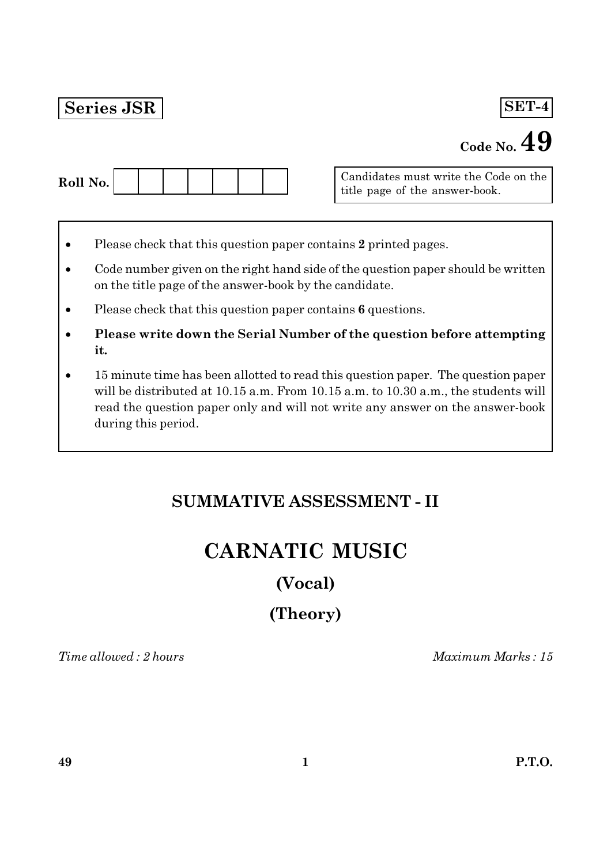## Series JSR

## SET-4

# Code No.  $49$

Candidates must write the Code on the title page of the answer-book.

- Please check that this question paper contains 2 printed pages.
- Code number given on the right hand side of the question paper should be written on the title page of the answer-book by the candidate.
- Please check that this question paper contains  $6$  questions.  $\bullet$
- Please write down the Serial Number of the question before attempting it.
- 15 minute time has been allotted to read this question paper. The question paper will be distributed at 10.15 a.m. From 10.15 a.m. to 10.30 a.m., the students will read the question paper only and will not write any answer on the answer-book during this period.

# **SUMMATIVE ASSESSMENT - II**

# **CARNATIC MUSIC**

## (Vocal)

# (Theory)

Time allowed: 2 hours

Maximum Marks: 15